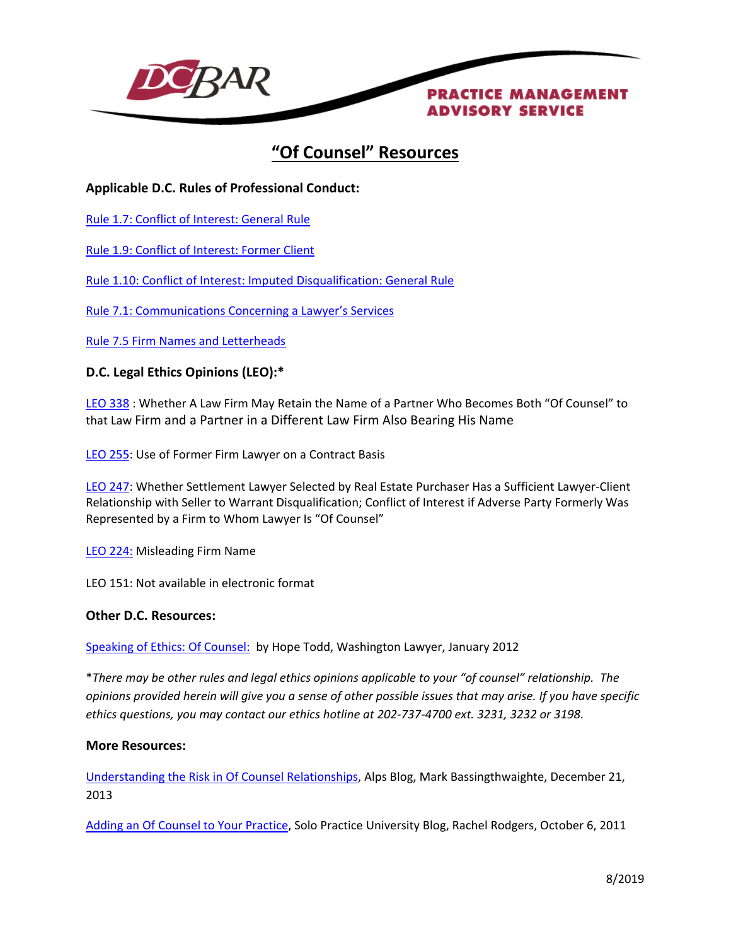

# **"Of Counsel" Resources**

## **Applicable D.C. Rules of Professional Conduct:**

[Rule 1.7: Conflict of Interest: General Rule](http://www.dcbar.org/bar-resources/legal-ethics/amended-rules/rule1-07.cfm)

[Rule 1.9: Conflict of Interest: Former Client](http://www.dcbar.org/bar-resources/legal-ethics/amended-rules/rule1-09.cfm)

[Rule 1.10: Conflict of Interest: Imputed Disqualification: General Rule](http://www.dcbar.org/bar-resources/legal-ethics/amended-rules/rule1-10.cfm)

[Rule 7.1: Communications Concerning a Lawyer's Services](http://www.dcbar.org/bar-resources/legal-ethics/amended-rules/rule7-01.cfm)

[Rule 7.5 Firm Names and Letterheads](http://www.dcbar.org/bar-resources/legal-ethics/amended-rules/rule7-05.cfm)

## **D.C. Legal Ethics Opinions (LEO):\***

[LEO](http://www.dcbar.org/bar-resources/legal-ethics/opinions/opinion338.cfm) 338 : Whether A Law Firm May Retain the Name of a Partner Who Becomes Both "Of Counsel" to that Law Firm and a Partner in a Different Law Firm Also Bearing His Name

LEO [255:](http://www.dcbar.org/bar-resources/legal-ethics/opinions/opinion255.cfm) Use of Former Firm Lawyer on a Contract Basis

LEO [247:](http://www.dcbar.org/bar-resources/legal-ethics/opinions/opinion247.cfm) Whether Settlement Lawyer Selected by Real Estate Purchaser Has a Sufficient Lawyer-Client Relationship with Seller to Warrant Disqualification; Conflict of Interest if Adverse Party Formerly Was Represented by a Firm to Whom Lawyer Is "Of Counsel"

LEO [224:](http://www.dcbar.org/bar-resources/legal-ethics/opinions/opinion224.cfm) Misleading Firm Name

LEO 151: Not available in electronic format

### **Other D.C. Resources:**

[Speaking of Ethics: Of Counsel:](http://www.dcbar.org/bar-resources/publications/washington-lawyer/articles/january-2012-speaking-of-ethics.cfm) by Hope Todd, Washington Lawyer, January 2012

\**There may be other rules and legal ethics opinions applicable to your "of counsel" relationship. The opinions provided herein will give you a sense of other possible issues that may arise. If you have specific ethics questions, you may contact our ethics hotline at 202-737-4700 ext. 3231, 3232 or 3198.*

### **More Resources:**

[Understanding the Risk in Of Counsel Relationships,](https://blog.alpsnet.com/understanding-the-risk-in-of-counsel-relationships) Alps Blog, Mark Bassingthwaighte, December 21, 2013

Adding an [Of Counsel to Your Practice,](http://solopracticeuniversity.com/2011/10/06/adding-an-of-counsel-to-your-practice/) Solo Practice University Blog, Rachel Rodgers, October 6, 2011